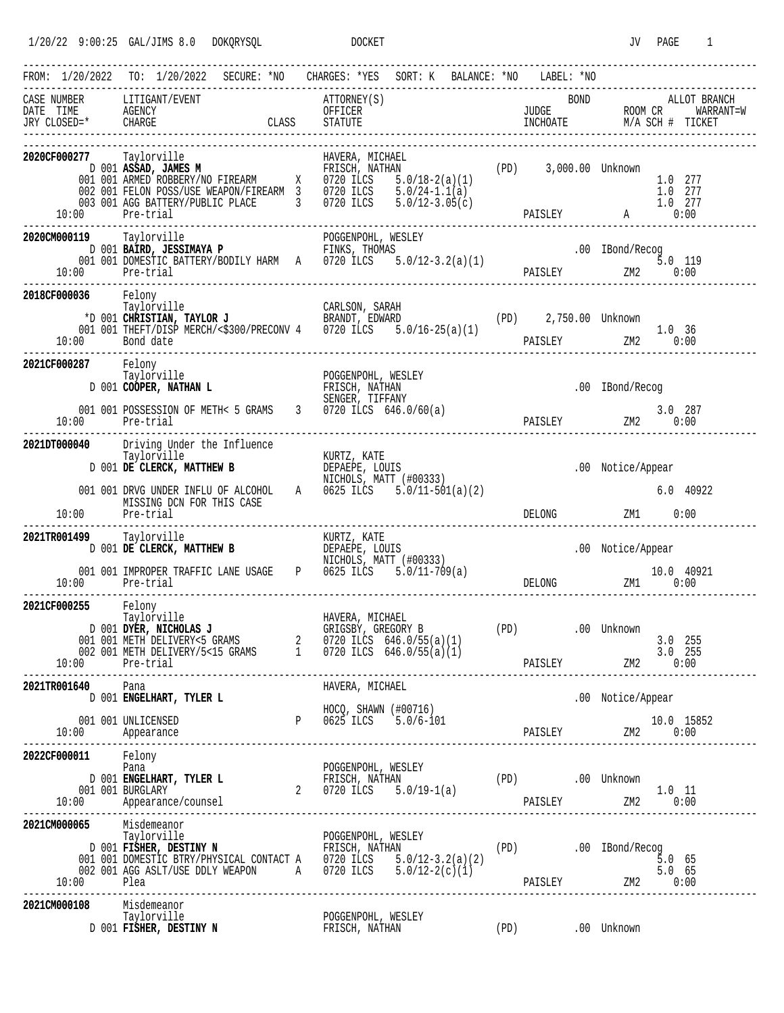| FROM: 1/20/2022 TO: 1/20/2022 SECURE: *NO CHARGES: *YES SORT: K BALANCE: *NO LABEL: *NO                                                                                                                                                                                                                                   |                            |                                                                                                                                                                                                                                                                |                                   |  |                                         |  |  | ------------------------------------ |                                                                                                                 |        |                               |
|---------------------------------------------------------------------------------------------------------------------------------------------------------------------------------------------------------------------------------------------------------------------------------------------------------------------------|----------------------------|----------------------------------------------------------------------------------------------------------------------------------------------------------------------------------------------------------------------------------------------------------------|-----------------------------------|--|-----------------------------------------|--|--|--------------------------------------|-----------------------------------------------------------------------------------------------------------------|--------|-------------------------------|
| $\begin{minipage}{0.9\linewidth} CASE & NUMBER & LITIGANT/EVENT \end{minipage}$<br>CASE NUMBER LITIGANT/EVENT ATTORNEY(S) BOND ALLOT BRANCH<br>DATE TIME AGENCY OFFICER UNE DESCRIPTION OF BRANCH<br>JUDGE ROOM CR WARRANT=W<br>TRY CLOSED=* CHARGE CLASS STATUTE INCHOATE M/A SCH # TICKET<br>-------------------------- |                            |                                                                                                                                                                                                                                                                |                                   |  | ATTORNEY(S)                             |  |  | <b>BOND</b>                          |                                                                                                                 |        | ALLOT BRANCH                  |
| 2020CF000277 Taylorville<br>10:00 Pre-trial                                                                                                                                                                                                                                                                               |                            | <b>277</b> Taylorville <b>HAVERA, MICHAEL</b><br>1991 <b>ASSAD, JAMES M</b><br>2001 <b>ANNED ROBBERY/NO FIREARM</b><br>2002 001 FELON POSS/USE WEAPON/FIREARM 3<br>2003 001 AGG BATTERY/PUBLIC PLACE<br>2003 001 AGG BATTERY/PUBLIC PLACE<br>2003 001 AGG BATT |                                   |  |                                         |  |  |                                      |                                                                                                                 |        | 1.0 277<br>1.0 277<br>1.0 277 |
| 2020CM000119 Taylorville<br>10:00 Pre-trial                                                                                                                                                                                                                                                                               |                            |                                                                                                                                                                                                                                                                |                                   |  |                                         |  |  |                                      |                                                                                                                 |        |                               |
| 2018CF000036 Felony<br>10:00 Bond date                                                                                                                                                                                                                                                                                    |                            | Taylorville<br>*D 001 <b>CHRISTIAN, TAYLOR J</b><br>001 001 THEFT/DISP MERCH/<\$300/PRECONV 4 0720 ILCS 5.0/16-25(a)(1)                                                                                                                                        |                                   |  |                                         |  |  | (PD) 2,750.00 Unknown                | PAISLEY ZM2 0:00                                                                                                | 1.0 36 |                               |
| 2021CF000287 Felony<br>10:00 Pre-trial                                                                                                                                                                                                                                                                                    |                            | Taylorville<br>D 001 COOPER, NATHAN L<br>001 001 POSSESSION OF METH< 5 GRAMS 3 0720 ILCS 646.0/60(a)                                                                                                                                                           | FRISCH, NATHAN<br>SENGER, TIFFANY |  | POGGENPOHL, WESLEY                      |  |  |                                      | .00 IBond/Recog                                                                                                 |        | 3.0 287                       |
| 2021DT000040 Driving Under the Influence<br>10:00                                                                                                                                                                                                                                                                         | Pre-trial                  | Taylorville<br>D 001 <b>DE CLERCK, MATTHEW B</b><br>D 001 <b>DE CLERCK, MATTHEW B</b><br>DEPAEPE, LOUIS<br>NICHOLS, MATT (#00333)<br>001 001 DRVG UNDER INFLU OF ALCOHOL<br>A 0625 ILCS 5.0/11-501(a)(2)<br>MISSING DCN FOR THIS CASE                          |                                   |  |                                         |  |  | DELONG                               | .00 Notice/Appear<br>ZM1 0:00                                                                                   |        | 6.0 40922                     |
| 2021TR001499 Taylorville<br>10:00 Pre-trial                                                                                                                                                                                                                                                                               |                            | 001 001 IMPROPER TRAFFIC LANE USAGE P 0625 ILCS 5.0/11-709(a)                                                                                                                                                                                                  |                                   |  |                                         |  |  |                                      | .00 Notice/Appear<br>$10.0$ 40921<br>DELONG $2M1$ $0:00$                                                        |        |                               |
| 2021CF000255 Felony<br>Taylorville                                                                                                                                                                                                                                                                                        |                            | D 001 DYER, NICHOLAS J<br>001 001 METH DELIVERY<5 GRAMS<br>002 001 METH DELIVERY/5<15 GRAMS<br>002 001 METH DELIVERY/5<15 GRAMS<br>002 001 METH DELIVERY/5<15 GRAMS<br>1 0720 ILCS 646.0/55(a)(1)                                                              | $\overline{a}$                    |  | HAVERA, MICHAEL<br>GRIGSBY, GREGORY B   |  |  | (PD) 00 Unknown                      |                                                                                                                 |        | $3.0$ 255<br>$3.0$ 255        |
| 2021TR001640 Pana                                                                                                                                                                                                                                                                                                         |                            | D 001 ENGELHART, TYLER L<br>ROCQ, SHAWN (#00716)<br>001 001 UNLICENSED<br>10 Appearance<br>2001 Appearance                                                                                                                                                     |                                   |  | HAVERA, MICHAEL<br>HOCQ, SHAWN (#00716) |  |  |                                      | .00 Notice/Appear<br>$\begin{tabular}{cc} \bf 10.0 & 15852 \\ \hline \tt PAISLEY & ZM2 & 0:00 \\ \end{tabular}$ |        |                               |
| 2022CF000011 Felony<br>Pana                                                                                                                                                                                                                                                                                               |                            |                                                                                                                                                                                                                                                                |                                   |  | POGGENPOHL, WESLEY                      |  |  |                                      |                                                                                                                 |        |                               |
| 2021CM000065 Misdemeanor<br>10:00 Plea                                                                                                                                                                                                                                                                                    |                            | Taylorville POGGENPOHL, WESLEY<br>DOI <b>FISHER, DESTINY N</b><br>DOI OOI <b>PISHER, DESTINY N</b><br>DOI OOI DOMESTIC BTRY/PHYSICAL CONTACT A 0720 ILCS 5.0/12-3.2(a)(2)<br>002 001 AGG ASLT/USE DDLY WEAPON A 0720 ILCS 5.0/12-2(c)(1)<br>002 00             |                                   |  |                                         |  |  |                                      |                                                                                                                 |        |                               |
| 2021CM000108                                                                                                                                                                                                                                                                                                              | Misdemeanor<br>Taylorville |                                                                                                                                                                                                                                                                |                                   |  |                                         |  |  |                                      |                                                                                                                 |        |                               |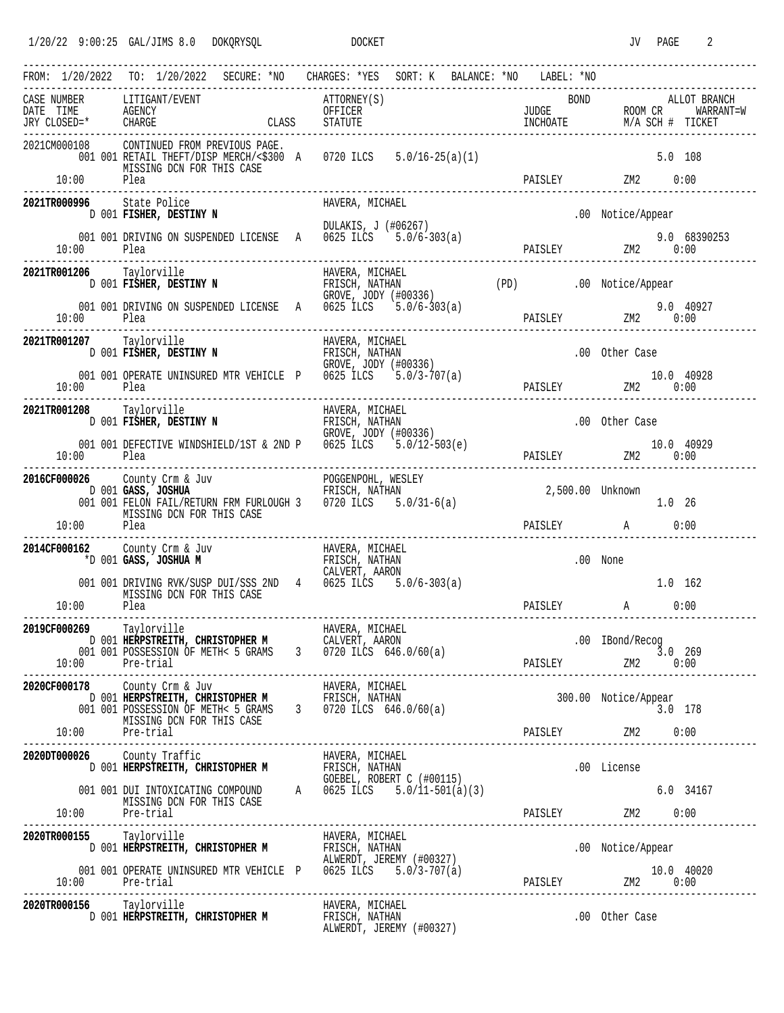| FROM: 1/20/2022 TO: 1/20/2022 SECURE: *NO CHARGES: *YES SORT: K BALANCE: *NO LABEL: *NO |                                                  |                                                            |  |                                                     |                                                                                                                                                                                                                     |  |         |             |                                   |        |                    |
|-----------------------------------------------------------------------------------------|--------------------------------------------------|------------------------------------------------------------|--|-----------------------------------------------------|---------------------------------------------------------------------------------------------------------------------------------------------------------------------------------------------------------------------|--|---------|-------------|-----------------------------------|--------|--------------------|
| CASE NUMBER                                                                             | LITIGANT/EVENT                                   |                                                            |  | ATTORNEY(S)                                         |                                                                                                                                                                                                                     |  |         | <b>BOND</b> |                                   |        | ALLOT BRANCH       |
| 2021CM000108<br>$10:00$ Plea                                                            |                                                  | CONTINUED FROM PREVIOUS PAGE.<br>MISSING DCN FOR THIS CASE |  |                                                     | 001 001 RETAIL THEFT/DISP MERCH/<\$300 A 0720 ILCS 5.0/16-25(a)(1)                                                                                                                                                  |  | PAISLEY |             | $ZM2$ 0:00                        |        | $5.0$ 108          |
| 2021TR000996 State Police                                                               |                                                  |                                                            |  | HAVERA, MICHAEL                                     |                                                                                                                                                                                                                     |  |         |             |                                   |        |                    |
|                                                                                         |                                                  | D 001 FISHER, DESTINY N                                    |  |                                                     | DULAKIS, J (#06267)                                                                                                                                                                                                 |  |         |             | .00 Notice/Appear                 |        |                    |
| 10:00                                                                                   | Plea                                             |                                                            |  |                                                     | 001 001 DRIVING ON SUSPENDED LICENSE A 0625 ILCS 5.0/6-303(a)                                                                                                                                                       |  |         |             | PAISLEY ZM2 0:00                  |        | 9.0 68390253       |
| 2021TR001206 Taylorville                                                                |                                                  | D 001 FISHER, DESTINY N                                    |  | HAVERA, MICHAEL<br>FRISCH, NATHAN                   | GROVE, JODY (#00336)                                                                                                                                                                                                |  |         |             | (PD) .00 Notice/Appear            |        |                    |
| 10:00                                                                                   | Plea                                             |                                                            |  |                                                     | 001 001 DRIVING ON SUSPENDED LICENSE A 0625 ILCS 5.0/6-303(a)                                                                                                                                                       |  |         |             | PAISLEY 2M2 0:00                  |        | 9.0 40927          |
| 2021TR001207 Taylorville                                                                |                                                  | D 001 FISHER, DESTINY N                                    |  | HAVERA, MICHAEL<br>FRISCH, NATHAN                   | GROVE, JODY (#00336)                                                                                                                                                                                                |  |         |             | .00 Other Case                    |        |                    |
| 10:00                                                                                   | Plea                                             |                                                            |  |                                                     | 001 001 OPERATE UNINSURED MTR VEHICLE P 0625 ILCS 5.0/3-707(a)                                                                                                                                                      |  |         |             | PAISLEY ZM2                       |        | 10.0 40928<br>0:00 |
| 2021TR001208 Taylorville                                                                |                                                  | D 001 FISHER, DESTINY N                                    |  | HAVERA, MICHAEL<br>FRISCH, NATHAN                   | GROVE, JODY (#00336)                                                                                                                                                                                                |  |         |             | .00 Other Case                    |        |                    |
| 10:00                                                                                   | Plea                                             |                                                            |  |                                                     | 001 001 DEFECTIVE WINDSHIELD/1ST & 2ND P 0625 ILCS 5.0/12-503(e)                                                                                                                                                    |  |         |             | PAISLEY 2M2 10.0 40929            |        |                    |
| 2016CF000026 County Crm & Juv                                                           |                                                  | MISSING DCN FOR THIS CASE                                  |  |                                                     | 026 County Crm & Juv POGGENPOHL, WESLEY<br>D 001 GASS, JOSHUA FRIECH, NATHAN<br>001 001 FELON FAIL/RETURN FRM FURLOUGH 3 0720 ILCS 5.0/31-6(a)                                                                      |  |         |             | 2,500.00 Unknown                  | 1.0 26 |                    |
| $10:00$ Plea                                                                            |                                                  |                                                            |  |                                                     |                                                                                                                                                                                                                     |  |         |             | PAISLEY A 0:00                    |        |                    |
| 2014CF000162 County Crm & Juv                                                           | *D 001 GASS, JOSHUA M                            |                                                            |  | HAVERA, MICHAEL<br>FRISCH, NATHAN<br>CALVERT, AARON |                                                                                                                                                                                                                     |  |         |             | .00 None                          |        |                    |
| $10:00$ Plea                                                                            |                                                  | MISSING DCN FOR THIS CASE                                  |  |                                                     | 001 001 DRIVING RVK/SUSP DUI/SSS 2ND 4 0625 ILCS 5.0/6-303(a)                                                                                                                                                       |  | PAISLEY |             | A 0:00                            |        | 1.0 162            |
| <b>2019CF000269</b>                                                                     | Taylorville                                      |                                                            |  | HAVERA, MICHAEL                                     | D 001 HERPSTREITH, CHRISTOPHER M CALVERT, AARON<br>001 001 POSSESSION OF METH< 5 GRAMS 3 0720 ILCS 646.0/60(a)<br>001 001 POSSESSION OF METH< 5 GRAMS 3 0720 ILCS $646.0/60(a)$<br>10:00 Pre-trial PAISLEY 2M2 0:00 |  |         |             | .00 IBond/Recog                   |        |                    |
| 2020CF000178 County Crm & Juv                                                           |                                                  | MISSING DCN FOR THIS CASE                                  |  |                                                     | 178 County Crm & Juv BAVERA, MICHAEL<br>D 001 <b>HERPSTREITH, CHRISTOPHER M</b> FRISCH, NATHAN<br>001 001 POSSESSION OF METH< 5 GRAMS 3 0720 ILCS 646.0/60(a)                                                       |  |         |             | 300.00 Notice/Appear<br>$3.0$ 178 |        |                    |
|                                                                                         | 10:00 Pre-trial                                  |                                                            |  |                                                     |                                                                                                                                                                                                                     |  |         |             | PAISLEY ZM2 0:00                  |        |                    |
| 2020DT000026 County Traffic                                                             |                                                  |                                                            |  |                                                     | 26 County Traffic<br>D 001 HERPSTREITH, CHRISTOPHER M FRISCH, NATHAN<br>GOEBEL, ROBERT C (#00115)                                                                                                                   |  |         |             | .00 License                       |        |                    |
|                                                                                         | $10:00$ Pre-trial                                | MISSING DCN FOR THIS CASE                                  |  |                                                     | 001 001 DUI INTOXICATING COMPOUND A 0625 ILCS $5.\overline{0}/\overline{11}-\overline{501}(a)(3)$                                                                                                                   |  |         |             |                                   |        | 6.0 34167          |
| 2020TR000155 Taylorville                                                                |                                                  |                                                            |  |                                                     | 5 Taylorville (THE HAVERA, MICHAEL END 101 HERPSTREITH, CHRISTOPHER MANIFIESCH, NATHAN<br>D 001 HERPSTREITH, CHRISTOPHER MANIFIESCH, JEREMY (#00327)                                                                |  |         |             | .00 Notice/Appear                 |        |                    |
|                                                                                         | 10:00 Pre-trial<br>. _ _ _ _ _ _ _ _ _ _ _ _ _ _ |                                                            |  |                                                     | 001 001 OPERATE UNINSURED MTR VEHICLE P 0625 ILCS 5.0/3-707(a)                                                                                                                                                      |  |         |             | 10.0 40020                        |        |                    |
| 2020TR000156 Taylorville                                                                |                                                  | D 001 HERPSTREITH, CHRISTOPHER M FRISCH, NATHAN            |  | HAVERA, MICHAEL                                     | ALWERDT, JEREMY (#00327)                                                                                                                                                                                            |  |         |             | .00 Other Case                    |        |                    |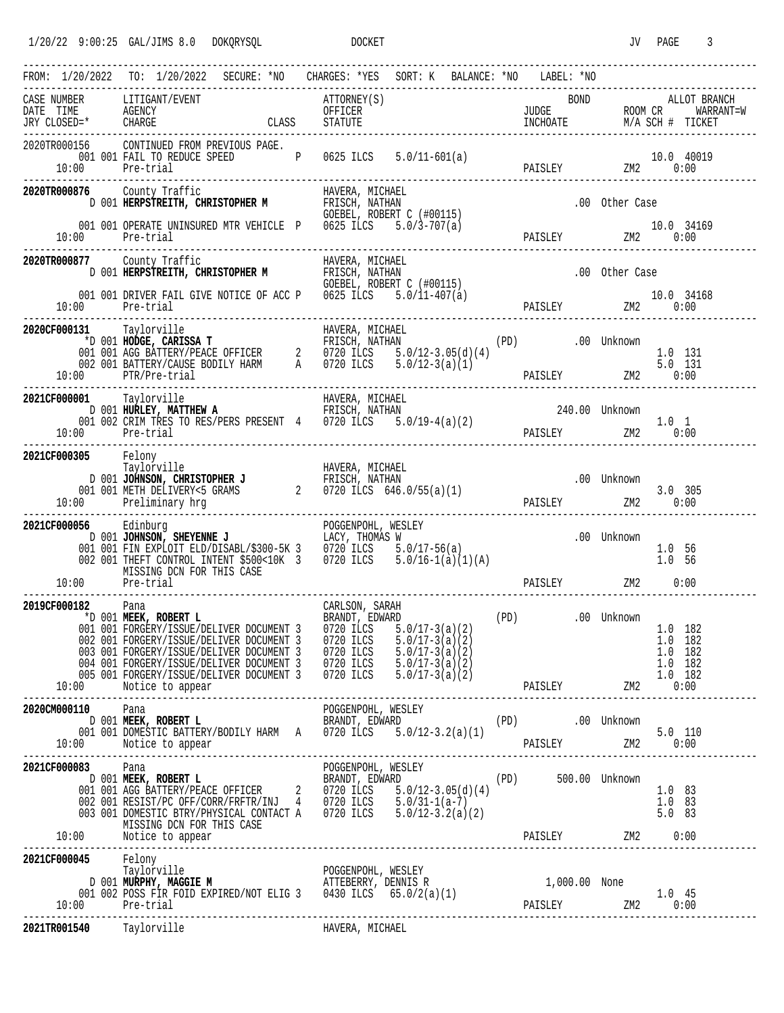|                                                 | FROM: 1/20/2022 TO: 1/20/2022 SECURE: *NO CHARGES: *YES SORT: K BALANCE: *NO LABEL: *NO<br>--------------------------                                                                                                                                                                                                                                                                                                                                                    |                 | -------------------------------------- |                                                                                                        |
|-------------------------------------------------|--------------------------------------------------------------------------------------------------------------------------------------------------------------------------------------------------------------------------------------------------------------------------------------------------------------------------------------------------------------------------------------------------------------------------------------------------------------------------|-----------------|----------------------------------------|--------------------------------------------------------------------------------------------------------|
|                                                 | CASE NUMBER LITIGANT/EVENT ATTORNEY(S) BOND ALLOT BRANCH DATE TIME AGENCY CHARGE CLASS STATUTE THE RESOLUTION AND DATE TIME AGENCY CLASS STATUTE THE TIME AGENCY CHARGE CLASS STATUTE THE TICKET ROOM CR WARRANT=W                                                                                                                                                                                                                                                       |                 |                                        |                                                                                                        |
| 10:00 Pre-trial                                 | 2020TR000156 CONTINUED FROM PREVIOUS PAGE.<br>$\begin{array}{cccccccccc} 001 & 001 & \text{FAIL TO REDUCE SPEED} & \text{P} & 0625 \text{ ILCS} & 5.0/11-601(a) \end{array}$                                                                                                                                                                                                                                                                                             |                 |                                        | 10.0 40019                                                                                             |
|                                                 | 2020TR000876 County Traffic<br>D 001 HERPSTREITH, CHRISTOPHER M FRISCH, NATHAN<br>GOEBEL, ROBERT C (#00115)                                                                                                                                                                                                                                                                                                                                                              |                 | (20, 0115)                             | .00 Other Case                                                                                         |
| 10:00 Pre-trial<br>---------------------------- | 001 001 OPERATE UNINSURED MTR VEHICLE P 0625 ILCS 5.0/3-707(a)                                                                                                                                                                                                                                                                                                                                                                                                           |                 |                                        | 10.0 34169                                                                                             |
| 2020TR000877 County Traffic                     | The complement of the complement of the complement of the complement of the complement of the complement of the complement of the complement of the complement of the complement of the complement of the complement of the co                                                                                                                                                                                                                                           |                 |                                        | .00 Other Case                                                                                         |
| 10:00 Pre-trial                                 | 001 001 DRIVER FAIL GIVE NOTICE OF ACC P 0625 ILCS $5.0/11-407(a)$                                                                                                                                                                                                                                                                                                                                                                                                       |                 |                                        | 10.0 34168<br>PAISLEY 2M2 0:00                                                                         |
| 2020CF000131 Taylorville                        | 131 Taylorville HAVERA, MICHAEL<br>*D 001 <b>HODGE, CARISSA T</b> FRISCH, NATHAN (PD) .00 Unknown<br>001 001 AGG BATTERY/PEACE OFFICER 2 0720 ILCS 5.0/12-3.05(d)(4) .00 Unknown<br>002 001 BATTERY/CAUSE BODILY HARM A 0720 ILCS 5.0/12-<br>10:00 PTR/Pre-trial                                                                                                                                                                                                         |                 |                                        |                                                                                                        |
| 2021CF000001 Taylorville<br>10:00 Pre-trial     | 00001 Taylorville HAVERA, MICHAEL<br>D 001 HURLEY, MATTHEW A FRISCH, NATHAN<br>001 002 CRIM TRES TO RES/PERS PRESENT 4 0720 ILCS 5.0/19-4(a)(2)                                                                                                                                                                                                                                                                                                                          |                 |                                        | ${\small \begin{tabular}{cc} \bf 240.00 & Unknown & \\ \bf PAISLEY & \bf 2M2 & 0:00 \\ \end{tabular}}$ |
| 2021CF000305 Felony                             | Taylorville                                                                                                                                                                                                                                                                                                                                                                                                                                                              | HAVERA, MICHAEL |                                        |                                                                                                        |
| 2021CF000056 Edinburg                           | 056 Edinburg POGGENPOHL, WESLEY<br>D 001 JOHNSON, SHEYENNE J<br>001 001 FIN EXPLOIT ELD/DISABL/\$300-5K 3 0720 ILCS 5.0/17-56(a)<br>002 001 THEFT CONTROL INTENT \$500<10K 3 0720 ILCS 5.0/16-1(a)(1)(A)<br>MISSING DCN FOR THIS CASE<br>10:00 Pre-trial                                                                                                                                                                                                                 |                 |                                        | .00 Unknown<br>1.0 56<br>1.0 56<br>PAISLEY ZM2 0:00                                                    |
| 2019CF000182 Pana                               | <b>182</b> - Pana<br>*D 001 <b>MEEK, ROBERT L</b> BOOT BRANDT, EDWARD (PD) .00 Unknown<br>001 001 FORGERY/ISSUE/DELIVER DOCUMENT 3 0720 ILCS 5.0/17-3(a)(2) .00 Unknown<br>002 001 FORGERY/ISSUE/DELIVER DOCUMENT 3 0720 ILCS<br>003 001 FORGERY/ISSUE/DELIVER DOCUMENT 3 0720 ILCS 5.0/17-3(a)(2) 1.0 182<br>004 001 FORGERY/ISSUE/DELIVER DOCUMENT 3 0720 ILCS 5.0/17-3(a)(2) 1.0 182<br>005 001 FORGERY/ISSUE/DELIVER DOCUMENT 3 0720 ILCS 5.0/17-3(a)(2) 1.0 182<br> |                 | 5.0/17-3(a)(2)                         | 1.0 182<br>1.0 182                                                                                     |
| 2020CM000110 Pana                               |                                                                                                                                                                                                                                                                                                                                                                                                                                                                          |                 |                                        |                                                                                                        |
| 2021CF000083 Pana                               | <b>083</b><br><b>D</b> 001 <b>MEEK, ROBERT L</b><br><b>D</b> 001 <b>MEEK, ROBERT L</b><br><b>D</b> 001 AGG BATTERY/PEACE OFFICER<br><b>D</b> 002 001 RESIST/PC OFF/CORR/FRFTR/INJ 4 0720 ILCS 5.0/12-3.05(d)(4)<br>003 001 RESIST/PC OFF/CORR/FRFTR/INJ 4 0720 ILCS 5.0/31-<br>MISSING DCN FOR THIS CASE [10:00 MISSING DCN FOR THIS CASE PAISLEY PAISLEY 2M2 0:00<br>10:00 Motice to appear PAISLEY 2M2 0:00                                                            |                 |                                        | $1.0$ 83<br>1.0 83<br>$5.0$ 83                                                                         |
| 10:00 Pre-trial                                 | <b>2021CF000045</b> Felony<br>Taylorville POGGENPOHL, WESLEY<br>DOO1 MURPHY, MAGGIE M ATTEBERRY, DENNIS R 1,000.00 None<br>001 002 POSS FIR FOID EXPIRED/NOT ELIG 3 0430 ILCS 65.0/2(a)(1) PAISLEY 2M2                                                                                                                                                                                                                                                                   |                 |                                        |                                                                                                        |
|                                                 | 2021TR001540 Taylorville Taylors HAVERA, MICHAEL                                                                                                                                                                                                                                                                                                                                                                                                                         |                 |                                        |                                                                                                        |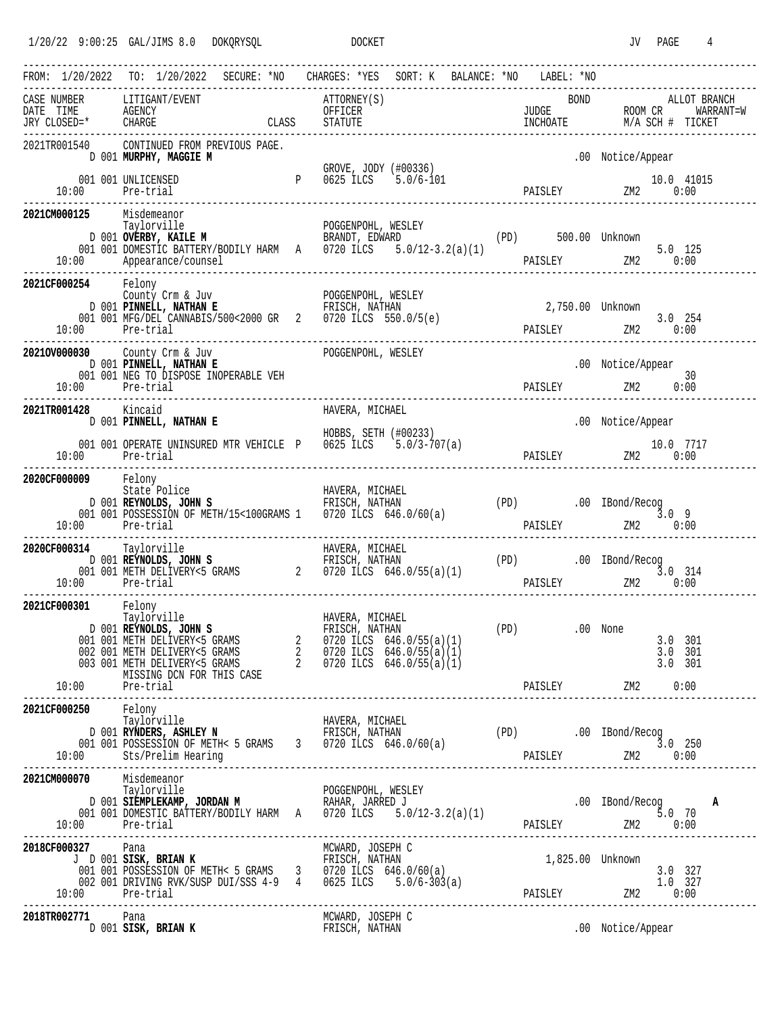|                                             | FROM: 1/20/2022 TO: 1/20/2022 SECURE: *NO CHARGES: *YES SORT: K BALANCE: *NO LABEL: *NO                                                                                                                                                                                                                                                                                                                 |      |  |                                   |                                               |                               |               |             |                                                                                                                                                                  |                                           |              |
|---------------------------------------------|---------------------------------------------------------------------------------------------------------------------------------------------------------------------------------------------------------------------------------------------------------------------------------------------------------------------------------------------------------------------------------------------------------|------|--|-----------------------------------|-----------------------------------------------|-------------------------------|---------------|-------------|------------------------------------------------------------------------------------------------------------------------------------------------------------------|-------------------------------------------|--------------|
| CASE NUMBER                                 | LITIGANT/EVENT                                                                                                                                                                                                                                                                                                                                                                                          |      |  | ATTORNEY(S)<br>OFFICER<br>STATUTE |                                               |                               |               | <b>BOND</b> |                                                                                                                                                                  |                                           | ALLOT BRANCH |
| 2021TR001540                                | CONTINUED FROM PREVIOUS PAGE.<br>D 001 MURPHY, MAGGIE M                                                                                                                                                                                                                                                                                                                                                 |      |  |                                   |                                               |                               |               |             | .00 Notice/Appear                                                                                                                                                |                                           |              |
|                                             | 001 001 UNLICENSED<br>10:00 Pre-trial                                                                                                                                                                                                                                                                                                                                                                   |      |  |                                   | GROVE, JODY (#00336)<br>P 0625 ILCS 5.0/6-101 |                               |               |             | 10.0 11<br>PAISLEY 2M2 0:00                                                                                                                                      | 10.0 41015                                |              |
| 2021CM000125 Misdemeanor                    | Taylorville <b>Exploration POGGENPOHL, WESLEY</b> (PD) 500.00 Unknown<br>D 001 <b>OVERBY, KAILE M</b> BRANDT, EDWARD (PD) 500.00 Unknown<br>001 001 DOMESTIC BATTERY/BODILY HARM A 0720 ILCS 5.0/12-3.2(a)(1)<br>10:00 Appearance/counsel                                                                                                                                                               |      |  |                                   |                                               |                               |               |             | 5.0 125<br>PAISLEY 2M2 0:00                                                                                                                                      |                                           |              |
| 10:00 Pre-trial                             | <b>2021CF000254</b> Felony<br>County Crm & Juv POGGENPOHL, WESLEY<br>D 001 PINNELL, NATHAN E FRISCH, NATHAN<br>001 001 MFG/DEL CANNABIS/500<2000 GR 2 0720 ILCS 550.0/5(e)                                                                                                                                                                                                                              |      |  |                                   |                                               |                               |               |             | 2,750.00 Unknown<br>254 PAISLEY 2M2 3.0 254                                                                                                                      |                                           |              |
| 10:00 Pre-trial                             | 20210V000030 County Crm & Juv<br>D 001 PINNELL, NATHAN E<br>001 001 NEG TO DISPOSE INOPERABLE VEH                                                                                                                                                                                                                                                                                                       |      |  | POGGENPOHL, WESLEY                |                                               |                               | PAISLEY ZM2   |             | .00 Notice/Appear                                                                                                                                                | 30<br>0:00                                |              |
| 2021TR001428 Kincaid                        | D 001 PINNELL, NATHAN E<br>001 001 OPERATE UNINSURED MTR VEHICLE P 0625 ILCS 5.0/3-707(a)<br>10:00 Pre-trial                                                                                                                                                                                                                                                                                            |      |  | HAVERA, MICHAEL                   | HOBBS, SETH (#00233)                          |                               |               |             | .00 Notice/Appear<br>$\begin{array}{cccc} & & & 10.0 & 7717 \\ \texttt{PAISLEY} & & & 2 \texttt{M2} & 0:00 \\ \texttt{-----} & & & \texttt{0:00} \\ \end{array}$ |                                           |              |
| 2020CF000009 Felony<br>10:00 Pre-trial      | CONTRIGUES TO HAVERA, MICHAEL<br>D 001 REYNOLDS, JOHN S<br>001 001 POSSESSION OF METH/15<100GRAMS 1 0720 ILCS 646.0/60(a)                                                                                                                                                                                                                                                                               |      |  |                                   |                                               | $(PD)$ . $00$ IBond/Recog 3.0 | PAISLEY       |             | 3.09                                                                                                                                                             | ZM2 0:00                                  |              |
| 2020CF000314 Taylorville<br>10:00 Pre-trial |                                                                                                                                                                                                                                                                                                                                                                                                         |      |  |                                   |                                               |                               |               |             | PAISLEY 2M2 0:00                                                                                                                                                 |                                           |              |
| 2021CF000301 Felony<br>Taylorville          | D 001 REYNOLDS, JOHN S<br>001 001 METH DELIVERY<5 GRAMS<br>002 001 METH DELIVERY<5 GRAMS<br>002 001 METH DELIVERY<5 GRAMS<br>003 001 METH DELIVERY<5 GRAMS<br>003 001 METH DELIVERY<5 GRAMS<br>003 001 METH DELIVERY<5 GRAMS<br>MISSING DCN FOR THIS CASE<br>0720 ILCS 646.0/                                                                                                                           | HN S |  | HAVERA, MICHAEL<br>FRISCH, NATHAN |                                               |                               | (PD) .00 None |             |                                                                                                                                                                  | $3.0$ $301$<br>$3.0$ $301$<br>$3.0$ $301$ |              |
| 2021CF000250                                | 0 Felony<br>Taylorville                                                                                                                                                                                                                                                                                                                                                                                 |      |  |                                   |                                               |                               |               |             |                                                                                                                                                                  |                                           |              |
| 2021CM000070 Misdemeanor                    | <b>)70</b> Misdemeanor<br>Taylorville <b>POGGENPOHL, WESLEY</b> .00 IBond/Recog <b>A</b><br>D 001 <b>SIEMPLEKAMP, JORDAN M</b> RAHAR, JARRED J .00 IBond/Recog <b>A</b><br>001 001 DOMESTIC BATTERY/BODILY HARM A 0720 ILCS 5.0/12-3.2(a)(1) PAISLEY 2M2 0:00                                                                                                                                           |      |  |                                   |                                               |                               |               |             |                                                                                                                                                                  |                                           |              |
| 2018CF000327 Pana                           | 0327 Pana<br>J D 001 SISK, BRIAN K<br>001 001 POSSESSION OF METH< 5 GRAMS<br>002 001 DRIVING RVK/SUSP DUI/SSS 4-9 4 0625 ILCS 646.0/60(a)<br>002 001 DRIVING RVK/SUSP DUI/SSS 4-9 4 0625 ILCS 5.0/6-303(a)<br>001 001 POSSESSION OF METH< 5 GRAMS 3 0720 ILCS 646.0/60(a) 3.0 327<br>002 001 DRIVING RVK/SUSP DUI/SSS 4-9 4 0625 ILCS 5.0/6-303(a) PAISLEY 2M2 0:00<br>10:00 Pre-trial PAISLEY 2M2 0:00 |      |  |                                   |                                               |                               |               |             | 1,825.00 Unknown                                                                                                                                                 |                                           |              |
| 2018TR002771 Pana                           | 02771 Pana<br>D 001 SISK, BRIAN K PRISCH, NATHAN                                                                                                                                                                                                                                                                                                                                                        |      |  | MCWARD, JOSEPH C                  |                                               | .00 Notice/Appear             |               |             |                                                                                                                                                                  |                                           |              |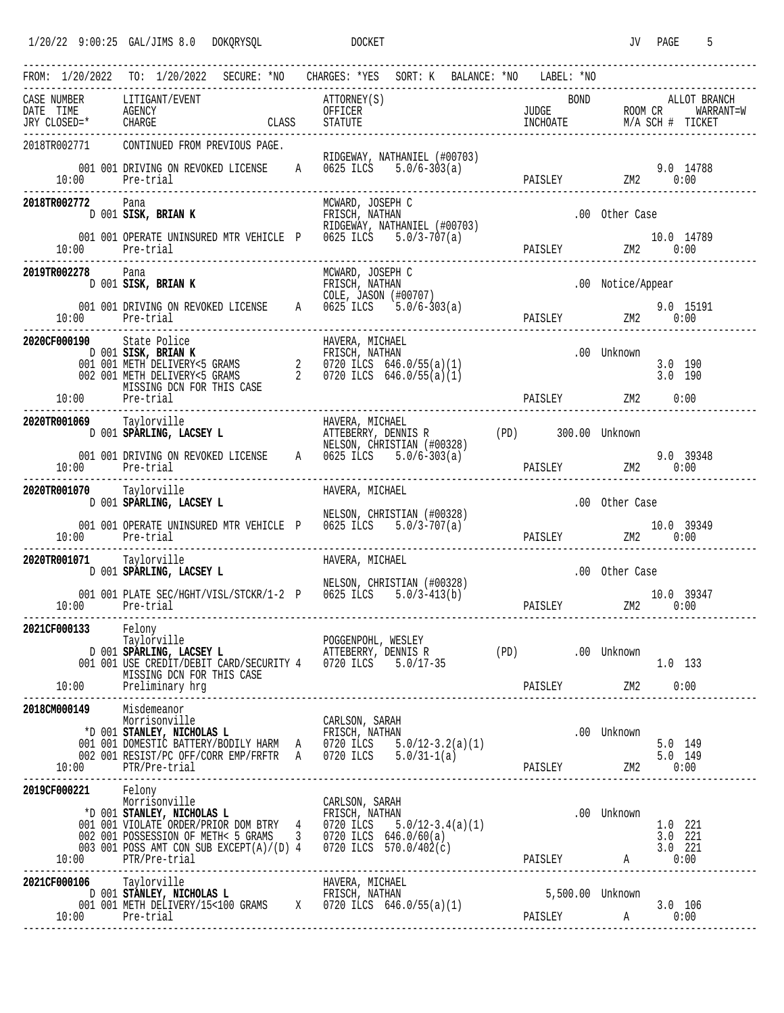| FROM: 1/20/2022 TO: 1/20/2022 SECURE: *NO CHARGES: *YES SORT: K BALANCE: *NO LABEL: *NO |  |                                                                                                                                                                                                                                                                           | -------------------------- |  |                  |                                                                                                                             |  |                               |                   |  |                                                                                                                      |
|-----------------------------------------------------------------------------------------|--|---------------------------------------------------------------------------------------------------------------------------------------------------------------------------------------------------------------------------------------------------------------------------|----------------------------|--|------------------|-----------------------------------------------------------------------------------------------------------------------------|--|-------------------------------|-------------------|--|----------------------------------------------------------------------------------------------------------------------|
| CASE NUMBER LITIGANT/EVENT                                                              |  |                                                                                                                                                                                                                                                                           |                            |  |                  |                                                                                                                             |  |                               |                   |  | ATTORNEY(S) BOND ALLOT BRANCH<br>OFFICER JUDGE ROOM CR WARRANT=W<br>CLASS STATUTE INCHOATE INCHOATE M/A SCH # TICKET |
| 2018TR002771 CONTINUED FROM PREVIOUS PAGE.<br>10:00 Pre-trial                           |  | 001 001 DRIVING ON REVOKED LICENSE A 0625 ILCS $5.0/6-303(a)$                                                                                                                                                                                                             |                            |  |                  | RIDGEWAY, NATHANIEL (#00703)                                                                                                |  |                               |                   |  | 9.0 14788                                                                                                            |
| 2018TR002772 Pana                                                                       |  | D 001 SISK, BRIAN K                                                                                                                                                                                                                                                       |                            |  | MCWARD, JOSEPH C |                                                                                                                             |  |                               | .00 Other Case    |  |                                                                                                                      |
|                                                                                         |  | 001 001 OPERATE UNINSURED MTR VEHICLE P 0625 ILCS 5.0/3-707(a)                                                                                                                                                                                                            |                            |  |                  |                                                                                                                             |  |                               |                   |  | 10.0 14789                                                                                                           |
| 2019TR002278 Pana                                                                       |  | D 001 SISK, BRIAN K<br>001 001 DRIVING ON REVOKED LICENSE<br>201 001 DRIVING ON REVOKED LICENSE<br>2025 ILCS 5.0/6-303(a)                                                                                                                                                 |                            |  | MCWARD, JOSEPH C |                                                                                                                             |  |                               | .00 Notice/Appear |  |                                                                                                                      |
|                                                                                         |  |                                                                                                                                                                                                                                                                           |                            |  |                  |                                                                                                                             |  |                               |                   |  |                                                                                                                      |
| 2020CF000190 State Police<br>10:00 Pre-trial                                            |  | D 001 SISK, BRIAN K<br>D 001 SISK, BRIAN K<br>001 001 METH DELIVERY<5 GRAMS<br>002 001 METH DELIVERY<5 GRAMS<br>MISSING DCN FOR THIS CASE<br>2 0720 ILCS 646.0/55(a)(1)<br>MISSING DCN FOR THIS CASE<br>2 0720 ILCS 646.0/55(a)(1)<br>Pre-tria                            |                            |  |                  |                                                                                                                             |  | PAISLEY ZM2 0:00              | .00 Unknown       |  | $3.0$ 190<br>$3.0$ 190                                                                                               |
| 2020TR001069 Taylorville                                                                |  |                                                                                                                                                                                                                                                                           |                            |  |                  |                                                                                                                             |  |                               |                   |  |                                                                                                                      |
|                                                                                         |  |                                                                                                                                                                                                                                                                           |                            |  |                  |                                                                                                                             |  |                               |                   |  |                                                                                                                      |
| 10:00 Pre-trial                                                                         |  | 001 001 DRIVING ON REVOKED LICENSE A 0625 ILCS 5.0/6-303(a)                                                                                                                                                                                                               | -------------------------  |  |                  |                                                                                                                             |  | 9.0 393<br>PAISLEY 2M2 0:00   |                   |  | 9.0 39348                                                                                                            |
| 2020TR001070 Taylorville                                                                |  | D 001 SPARLING, LACSEY L                                                                                                                                                                                                                                                  |                            |  | HAVERA, MICHAEL  |                                                                                                                             |  |                               | .00 Other Case    |  |                                                                                                                      |
| 10:00 Pre-trial                                                                         |  | 001 001 OPERATE UNINSURED MTR VEHICLE P 0625 ILCS 5.0/3-707(a)                                                                                                                                                                                                            |                            |  |                  | NELSON, CHRISTIAN (#00328)<br>SURED MTR VEHICLE P 0625 ILCS 5.0/3-707(a) PAISLEY 2M2 0:00<br>0:00 2M2 0:00 PAISLEY 2M2 0:00 |  |                               |                   |  |                                                                                                                      |
| 2020TR001071 Taylorville                                                                |  | D 001 SPARLING, LACSEY L                                                                                                                                                                                                                                                  |                            |  | HAVERA, MICHAEL  |                                                                                                                             |  |                               | .00 Other Case    |  |                                                                                                                      |
| $10:00$ Pre-trial                                                                       |  | 001 001 PLATE SEC/HGHT/VISL/STCKR/1-2 P 0625 ILCS 5.0/3-413(b)                                                                                                                                                                                                            |                            |  |                  | NELSON, CHRISTIAN (#00328)                                                                                                  |  | $2M2$ $2M2$ $0:00$            |                   |  | 10.0 39347                                                                                                           |
| 2021CF000133 Felony                                                                     |  | Taylorville<br>D 001 SPARLING, LACSEY L<br>D 001 OD1 USE CREDIT/DEBIT CARD/SECURITY 4 0720 ILCS 5.0/17-35<br>MISSING DCN FOR THIS CASE                                                                                                                                    |                            |  |                  |                                                                                                                             |  | (PD) .00 Unknown              |                   |  | 1.0 133                                                                                                              |
| 2018CM000149                                                                            |  | 9 Misdemeanor<br>Morrisonville<br>001 001 DOMESTIC BATTERY/BODILY HARM A 0720 ILCS 5.0/12-3.2(a)(1) 5.0 149<br>002 001 RESIST/PC OFF/CORR EMP/FRFTR A 0720 ILCS 5.0/31-1(a) 5.0/20ILEY 5.0 149<br>10:00 PTR/Pre-trial PAISLEY 2M2 0:00<br>------------------------------- |                            |  |                  |                                                                                                                             |  |                               |                   |  | 5.0 149                                                                                                              |
| 2019CF000221 Felony<br>Morrisonville                                                    |  | Morrisonville CARLSON, SARAH<br>*D 001 <b>STANLEY, NICHOLAS L</b><br>*D 001 VIOLATE ORDER/PRIOR DOM BTRY 4 0720 ILCS 5.0/12-3.4(a)(1)<br>002 001 POSSESSION OF METH< 5 GRAMS 3 0720 ILCS 646.0/60(a)<br>003 001 POSSESSION OF METH< 5 GRAMS<br>10:00 PTR/Pre-trial        |                            |  |                  |                                                                                                                             |  |                               | .00 Unknown       |  | 1.0 221<br>3.0 221                                                                                                   |
| 2021CF000106 Taylorville<br>10:00 Pre-trial                                             |  |                                                                                                                                                                                                                                                                           |                            |  |                  |                                                                                                                             |  | 5,500.00 Unknown<br>PAISLEY A |                   |  | $3.0$ 106                                                                                                            |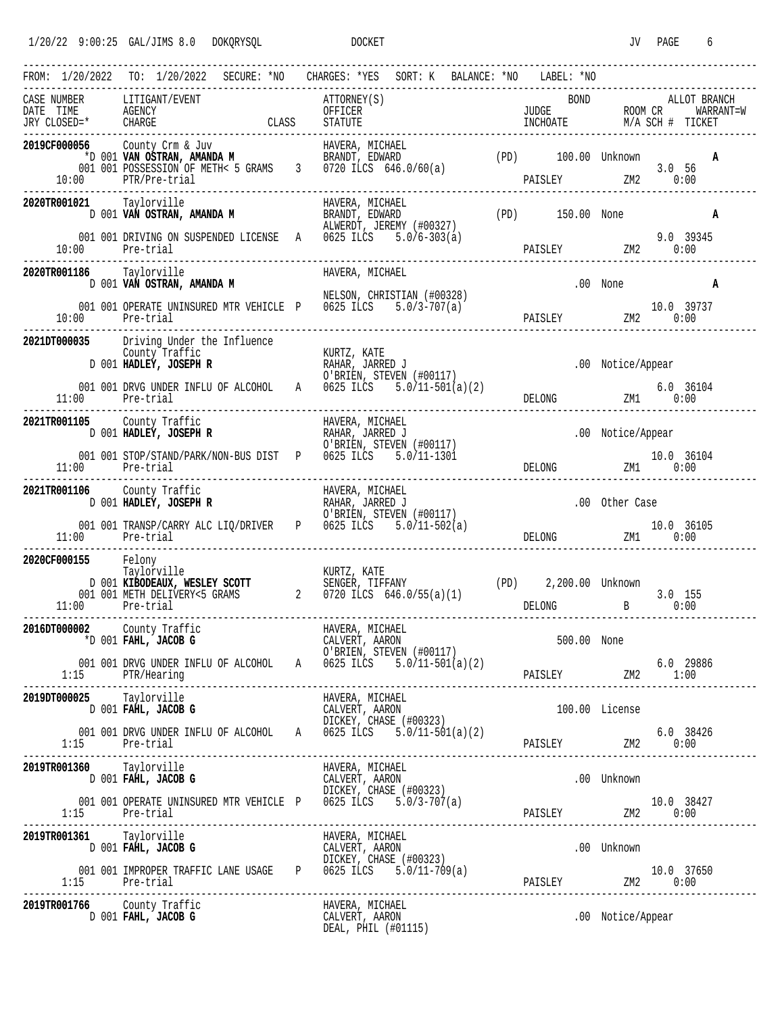1/20/22 9:00:25 GAL/JIMS 8.0 DOKQRYSQL DOCKET DOCKET JV PAGE 6

|                                             | SECURE: *NO<br>FROM: 1/20/2022 TO: 1/20/2022                                                                                                                                                                                                                                                                                                                                                                                                                                                      | CHARGES: *YES<br>SORT: K<br>BALANCE: *NO                                                                                                   |  | LABEL: *NO                                                                                                                                                                                                                                                                                             |                   |                |
|---------------------------------------------|---------------------------------------------------------------------------------------------------------------------------------------------------------------------------------------------------------------------------------------------------------------------------------------------------------------------------------------------------------------------------------------------------------------------------------------------------------------------------------------------------|--------------------------------------------------------------------------------------------------------------------------------------------|--|--------------------------------------------------------------------------------------------------------------------------------------------------------------------------------------------------------------------------------------------------------------------------------------------------------|-------------------|----------------|
|                                             | $\begin{tabular}{lllllll} \multicolumn{2}{c}{\textbf{C.A.D.}} & $\multicolumn{2}{c}{\textbf{NUMBER}} & $\multicolumn{2}{c}{\textbf{LITIGANT/EVENT}}\\ \multicolumn{2}{c}{\textbf{DATE}} & $\textbf{TIME}$ & $\textbf{AGENCY}} & $\textbf{EVENT}\\ \textbf{JRY CLOSED}=\text{*} & $\textbf{GERAGE}$ & $\textbf{CHARGE}$\\ \multicolumn{2}{c}{\textbf{PATE}} & $\textbf{PATE} & $\textbf{PATE} & $\textbf{PATE} \\ \multicolumn{2}{c}{\textbf{PATE}} & $\textbf{PATE} & $\textbf{PATE} & $\textbf{$ | ATTORNEY(S)                                                                                                                                |  | BOND                                                                                                                                                                                                                                                                                                   |                   | ALLOT BRANCH   |
| 2019CF000056<br>10:00                       | PTR/Pre-trial                                                                                                                                                                                                                                                                                                                                                                                                                                                                                     | ------------------------------                                                                                                             |  | PAISLEY 2M2 0:00                                                                                                                                                                                                                                                                                       |                   | A<br>$3.0\ 56$ |
| 2020TR001021 Taylorville                    |                                                                                                                                                                                                                                                                                                                                                                                                                                                                                                   | <b>21</b> Taylorville <b>MANDA M</b> HAVERA, MICHAEL (PD) 150.00 None<br>D 001 <b>VAN OSTRAN, AMANDA M</b> RRANDT, EDWARD (PD) 150.00 None |  |                                                                                                                                                                                                                                                                                                        |                   | Α              |
|                                             | 001 001 DRIVING ON SUSPENDED LICENSE A 0625 ILCS $5.0/6-303(a)$<br>10:00 Pre-trial                                                                                                                                                                                                                                                                                                                                                                                                                |                                                                                                                                            |  | PAISLEY ZM2 0:00                                                                                                                                                                                                                                                                                       |                   | 9.0 39345      |
| 2020TR001186 Taylorville                    | D 001 VAN OSTRAN, AMANDA M                                                                                                                                                                                                                                                                                                                                                                                                                                                                        | HAVERA, MICHAEL                                                                                                                            |  |                                                                                                                                                                                                                                                                                                        |                   | .00 None<br>A  |
| 10:00                                       | 001 001 OPERATE UNINSURED MTR VEHICLE P 0625 ILCS 5.0/3-707(a)<br>Pre-trial                                                                                                                                                                                                                                                                                                                                                                                                                       | NELSON, CHRISTIAN (#00328)                                                                                                                 |  | 10.0 39737<br>PAISLEY 2M2 0:00                                                                                                                                                                                                                                                                         |                   |                |
|                                             | 2021DT000035 Driving Under the Influence<br>County Traffic<br>D 001 <b>HADLEY, JOSEPH R</b> RAHAR, JARRED J<br>O'RETEN STEVEN                                                                                                                                                                                                                                                                                                                                                                     | O'BRIEN, STEVEN (#00117)                                                                                                                   |  |                                                                                                                                                                                                                                                                                                        | .00 Notice/Appear |                |
|                                             | 11:00 Pre-trial<br>------------------------                                                                                                                                                                                                                                                                                                                                                                                                                                                       | 001 001 DRVG UNDER INFLU OF ALCOHOL A 0625 ILCS $5.0/11-501(a)(2)$                                                                         |  | $DELONG \qquad \qquad ZM1 \qquad \qquad 0:00$                                                                                                                                                                                                                                                          |                   | 6.0 36104      |
| 2021TR001105 County Traffic                 | D 001 HADLEY, JOSEPH R                                                                                                                                                                                                                                                                                                                                                                                                                                                                            | HAVERA, MICHAEL<br>RAHAR, JARRED J<br>רבי ייידים                                                                                           |  |                                                                                                                                                                                                                                                                                                        | .00 Notice/Appear |                |
|                                             | 001 001 STOP/STAND/PARK/NON-BUS DIST P 0625 ILCS 5.0/11-1301<br>11:00 Pre-trial                                                                                                                                                                                                                                                                                                                                                                                                                   | O'BRIEN, STEVEN (#00117)                                                                                                                   |  | DELONG 2M1 0:00                                                                                                                                                                                                                                                                                        |                   | 10.0 36104     |
| 2021TR001106 County Traffic                 | D 001 HADLEY, JOSEPH R                                                                                                                                                                                                                                                                                                                                                                                                                                                                            | HAVERA, MICHAEL<br>RAHAR, JARRED J                                                                                                         |  |                                                                                                                                                                                                                                                                                                        | .00 Other Case    |                |
|                                             | 001 001 TRANSP/CARRY ALC LIQ/DRIVER P 0625 ILCS 5.0/11-502(a)<br>$11:00$ Pre-trial                                                                                                                                                                                                                                                                                                                                                                                                                | O'BRIEN, STEVEN (#00117)                                                                                                                   |  | DELONG ZM1 0:00                                                                                                                                                                                                                                                                                        |                   | 10.0 36105     |
| 2020CF000155 Felony<br>Taylorville<br>11:00 | Pre-trial                                                                                                                                                                                                                                                                                                                                                                                                                                                                                         |                                                                                                                                            |  | $\begin{tabular}{ccccc} DELONG & \multicolumn{2}{c }{\textbf{D}} & \multicolumn{2}{c }{\textbf{3.0}} & \multicolumn{2}{c }{\textbf{155}}\\ & \multicolumn{2}{c }{\textbf{0:00}} & \multicolumn{2}{c }{\textbf{5}} & \multicolumn{2}{c }{\textbf{6}} & \multicolumn{2}{c }{\textbf{7}}\\ \end{tabular}$ |                   |                |
| 2016DT000002                                | County Traffic<br>*D 001 FAHL, JACOB G                                                                                                                                                                                                                                                                                                                                                                                                                                                            | HAVERA, MICHAEL<br>CALVERT, AARON                                                                                                          |  | 500.00 None                                                                                                                                                                                                                                                                                            |                   |                |
|                                             |                                                                                                                                                                                                                                                                                                                                                                                                                                                                                                   | O'BRIEN, STEVEN (#00117)<br>001 001 DRVG UNDER INFLU OF ALCOHOL A 0625 ILCS $5.0/11-501(a)(2)$                                             |  |                                                                                                                                                                                                                                                                                                        |                   |                |
|                                             | 2019DT000025 Taylorville<br>D 001 FAHL, JACOB G                                                                                                                                                                                                                                                                                                                                                                                                                                                   | HAVERA, MICHAEL<br>CALVERT, AARON<br>DICKEY, CHASE_(#00323)                                                                                |  | 100.00 License                                                                                                                                                                                                                                                                                         |                   |                |
|                                             | 1:15 Pre-trial                                                                                                                                                                                                                                                                                                                                                                                                                                                                                    | 001 001 DRVG UNDER INFLU OF ALCOHOL A $0625$ ILCS $5.0/11-501(a)(2)$                                                                       |  |                                                                                                                                                                                                                                                                                                        |                   |                |
| 2019TR001360 Taylorville                    | D 001 FAHL, JACOB G                                                                                                                                                                                                                                                                                                                                                                                                                                                                               | HAVERA, MICHAEL<br>CALVERT, AARON<br>DICKEY, CHASE (#00323)<br>COSE TICS – 5 0/3-707(a                                                     |  |                                                                                                                                                                                                                                                                                                        | .00 Unknown       |                |
|                                             | 001 001 OPERATE UNINSURED MTR VEHICLE $P$ 0625 ILCS 5.0/3-707(a)                                                                                                                                                                                                                                                                                                                                                                                                                                  |                                                                                                                                            |  |                                                                                                                                                                                                                                                                                                        |                   |                |
| 2019TR001361 Taylorville                    | $\mathbb G$<br>D 001 FAHL, JACOB G                                                                                                                                                                                                                                                                                                                                                                                                                                                                | HAVERA, MICHAEL<br>CALVERT, AARON<br>DICKEY, CHASE (#00323)                                                                                |  |                                                                                                                                                                                                                                                                                                        | .00 Unknown       |                |
|                                             | 001 001 IMPROPER TRAFFIC LANE USAGE P 0625 ILCS 5.0/11-709(a)<br>1:15 Pre-trial                                                                                                                                                                                                                                                                                                                                                                                                                   |                                                                                                                                            |  | PAISLEY ZM2 0:00                                                                                                                                                                                                                                                                                       |                   | 10.0 37650     |
|                                             | 2019TR001766 County Traffic<br>D 001 FAHL, JACOB G                                                                                                                                                                                                                                                                                                                                                                                                                                                | HAVERA, MICHAEL<br>CALVERT, AARON<br>DEAL, PHIL (#01115)                                                                                   |  |                                                                                                                                                                                                                                                                                                        | .00 Notice/Appear |                |